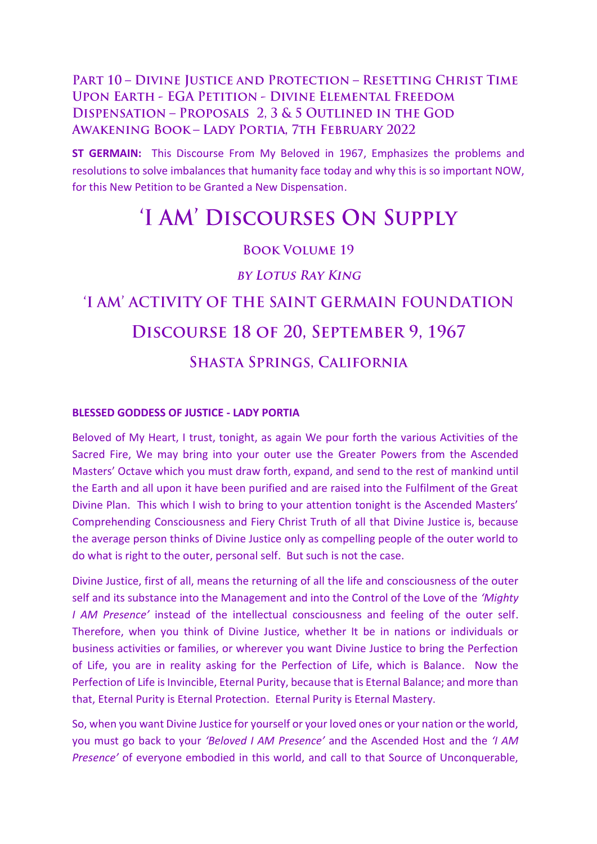### PART 10 - DIVINE JUSTICE AND PROTECTION - RESETTING CHRIST TIME **UPON EARTH - EGA PETITION - DIVINE ELEMENTAL FREEDOM** DISPENSATION - PROPOSALS 2, 3 & 5 OUTLINED IN THE GOD **AWAKENING BOOK - LADY PORTIA, 7TH FEBRUARY 2022**

**ST GERMAIN:** This Discourse From My Beloved in 1967, Emphasizes the problems and resolutions to solve imbalances that humanity face today and why this is so important NOW, for this New Petition to be Granted a New Dispensation.

## 'I AM' DISCOURSES ON SUPPLY

#### **BOOK VOLUME 19**

**BY LOTUS RAY KING** 

# 'I AM' ACTIVITY OF THE SAINT GERMAIN FOUNDATION DISCOURSE 18 OF 20, SEPTEMBER 9, 1967 **SHASTA SPRINGS, CALIFORNIA**

#### **BLESSED GODDESS OF JUSTICE - LADY PORTIA**

Beloved of My Heart, I trust, tonight, as again We pour forth the various Activities of the Sacred Fire, We may bring into your outer use the Greater Powers from the Ascended Masters' Octave which you must draw forth, expand, and send to the rest of mankind until the Earth and all upon it have been purified and are raised into the Fulfilment of the Great Divine Plan. This which I wish to bring to your attention tonight is the Ascended Masters' Comprehending Consciousness and Fiery Christ Truth of all that Divine Justice is, because the average person thinks of Divine Justice only as compelling people of the outer world to do what is right to the outer, personal self. But such is not the case.

Divine Justice, first of all, means the returning of all the life and consciousness of the outer self and its substance into the Management and into the Control of the Love of the *'Mighty I AM Presence'* instead of the intellectual consciousness and feeling of the outer self. Therefore, when you think of Divine Justice, whether It be in nations or individuals or business activities or families, or wherever you want Divine Justice to bring the Perfection of Life, you are in reality asking for the Perfection of Life, which is Balance. Now the Perfection of Life is Invincible, Eternal Purity, because that is Eternal Balance; and more than that, Eternal Purity is Eternal Protection. Eternal Purity is Eternal Mastery.

So, when you want Divine Justice for yourself or your loved ones or your nation or the world, you must go back to your *'Beloved I AM Presence'* and the Ascended Host and the *'I AM Presence'* of everyone embodied in this world, and call to that Source of Unconquerable,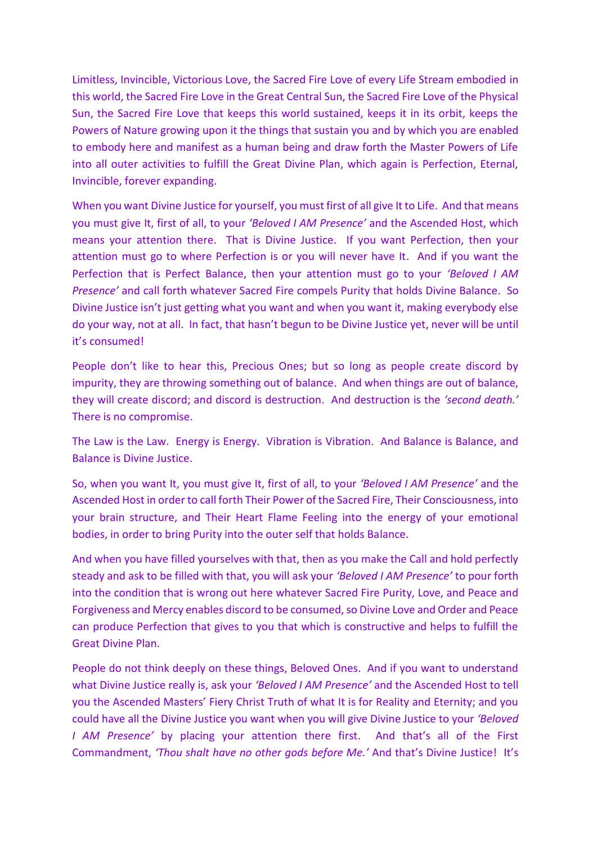Limitless, Invincible, Victorious Love, the Sacred Fire Love of every Life Stream embodied in this world, the Sacred Fire Love in the Great Central Sun, the Sacred Fire Love of the Physical Sun, the Sacred Fire Love that keeps this world sustained, keeps it in its orbit, keeps the Powers of Nature growing upon it the things that sustain you and by which you are enabled to embody here and manifest as a human being and draw forth the Master Powers of Life into all outer activities to fulfill the Great Divine Plan, which again is Perfection, Eternal, Invincible, forever expanding.

When you want Divine Justice for yourself, you must first of all give It to Life. And that means you must give It, first of all, to your *'Beloved I AM Presence'* and the Ascended Host, which means your attention there. That is Divine Justice. If you want Perfection, then your attention must go to where Perfection is or you will never have It. And if you want the Perfection that is Perfect Balance, then your attention must go to your *'Beloved I AM Presence'* and call forth whatever Sacred Fire compels Purity that holds Divine Balance. So Divine Justice isn't just getting what you want and when you want it, making everybody else do your way, not at all. In fact, that hasn't begun to be Divine Justice yet, never will be until it's consumed!

People don't like to hear this, Precious Ones; but so long as people create discord by impurity, they are throwing something out of balance. And when things are out of balance, they will create discord; and discord is destruction. And destruction is the *'second death.'* There is no compromise.

The Law is the Law. Energy is Energy. Vibration is Vibration. And Balance is Balance, and Balance is Divine Justice.

So, when you want It, you must give It, first of all, to your *'Beloved I AM Presence'* and the Ascended Host in order to call forth Their Power of the Sacred Fire, Their Consciousness, into your brain structure, and Their Heart Flame Feeling into the energy of your emotional bodies, in order to bring Purity into the outer self that holds Balance.

And when you have filled yourselves with that, then as you make the Call and hold perfectly steady and ask to be filled with that, you will ask your *'Beloved I AM Presence'* to pour forth into the condition that is wrong out here whatever Sacred Fire Purity, Love, and Peace and Forgiveness and Mercy enables discord to be consumed, so Divine Love and Order and Peace can produce Perfection that gives to you that which is constructive and helps to fulfill the Great Divine Plan.

People do not think deeply on these things, Beloved Ones. And if you want to understand what Divine Justice really is, ask your *'Beloved I AM Presence'* and the Ascended Host to tell you the Ascended Masters' Fiery Christ Truth of what It is for Reality and Eternity; and you could have all the Divine Justice you want when you will give Divine Justice to your *'Beloved I AM Presence'* by placing your attention there first. And that's all of the First Commandment, *'Thou shalt have no other gods before Me.'* And that's Divine Justice! It's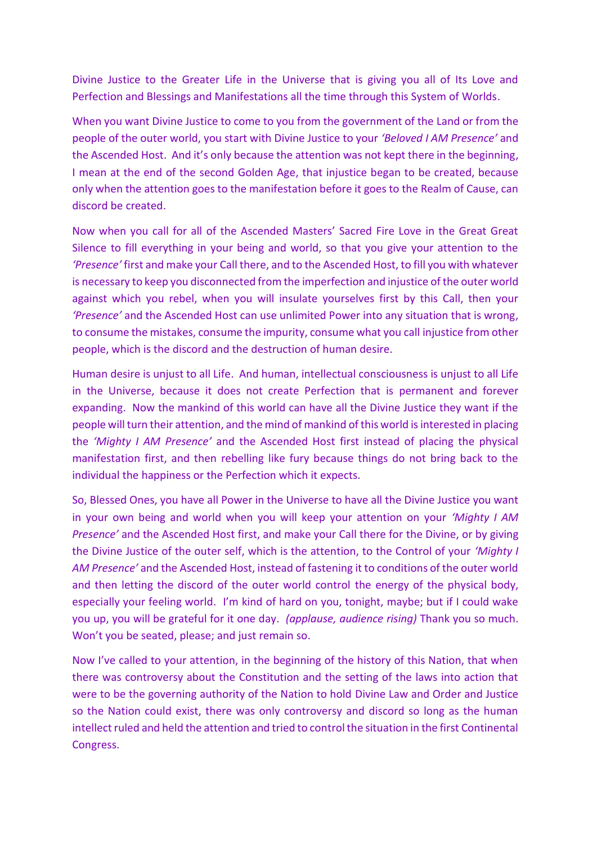Divine Justice to the Greater Life in the Universe that is giving you all of Its Love and Perfection and Blessings and Manifestations all the time through this System of Worlds.

When you want Divine Justice to come to you from the government of the Land or from the people of the outer world, you start with Divine Justice to your *'Beloved I AM Presence'* and the Ascended Host. And it's only because the attention was not kept there in the beginning, I mean at the end of the second Golden Age, that injustice began to be created, because only when the attention goes to the manifestation before it goes to the Realm of Cause, can discord be created.

Now when you call for all of the Ascended Masters' Sacred Fire Love in the Great Great Silence to fill everything in your being and world, so that you give your attention to the *'Presence'* first and make your Call there, and to the Ascended Host, to fill you with whatever is necessary to keep you disconnected from the imperfection and injustice of the outer world against which you rebel, when you will insulate yourselves first by this Call, then your *'Presence'* and the Ascended Host can use unlimited Power into any situation that is wrong, to consume the mistakes, consume the impurity, consume what you call injustice from other people, which is the discord and the destruction of human desire.

Human desire is unjust to all Life. And human, intellectual consciousness is unjust to all Life in the Universe, because it does not create Perfection that is permanent and forever expanding. Now the mankind of this world can have all the Divine Justice they want if the people will turn their attention, and the mind of mankind of this world is interested in placing the *'Mighty I AM Presence'* and the Ascended Host first instead of placing the physical manifestation first, and then rebelling like fury because things do not bring back to the individual the happiness or the Perfection which it expects.

So, Blessed Ones, you have all Power in the Universe to have all the Divine Justice you want in your own being and world when you will keep your attention on your *'Mighty I AM Presence'* and the Ascended Host first, and make your Call there for the Divine, or by giving the Divine Justice of the outer self, which is the attention, to the Control of your *'Mighty I AM Presence'* and the Ascended Host, instead of fastening it to conditions of the outer world and then letting the discord of the outer world control the energy of the physical body, especially your feeling world. I'm kind of hard on you, tonight, maybe; but if I could wake you up, you will be grateful for it one day. *(applause, audience rising)* Thank you so much. Won't you be seated, please; and just remain so.

Now I've called to your attention, in the beginning of the history of this Nation, that when there was controversy about the Constitution and the setting of the laws into action that were to be the governing authority of the Nation to hold Divine Law and Order and Justice so the Nation could exist, there was only controversy and discord so long as the human intellect ruled and held the attention and tried to control the situation in the first Continental Congress.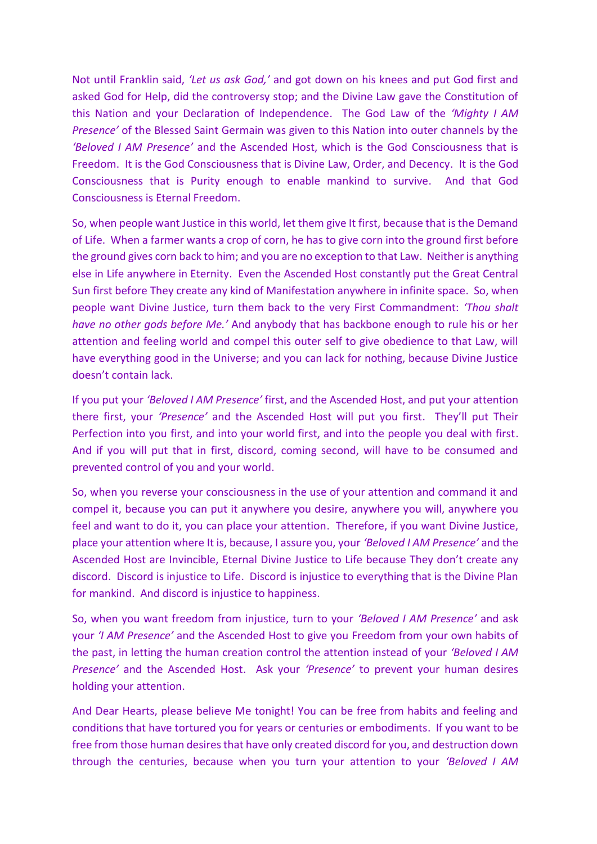Not until Franklin said, *'Let us ask God,'* and got down on his knees and put God first and asked God for Help, did the controversy stop; and the Divine Law gave the Constitution of this Nation and your Declaration of Independence. The God Law of the *'Mighty I AM Presence'* of the Blessed Saint Germain was given to this Nation into outer channels by the *'Beloved I AM Presence'* and the Ascended Host, which is the God Consciousness that is Freedom. It is the God Consciousness that is Divine Law, Order, and Decency. It is the God Consciousness that is Purity enough to enable mankind to survive. And that God Consciousness is Eternal Freedom.

So, when people want Justice in this world, let them give It first, because that is the Demand of Life. When a farmer wants a crop of corn, he has to give corn into the ground first before the ground gives corn back to him; and you are no exception to that Law. Neither is anything else in Life anywhere in Eternity. Even the Ascended Host constantly put the Great Central Sun first before They create any kind of Manifestation anywhere in infinite space. So, when people want Divine Justice, turn them back to the very First Commandment: *'Thou shalt have no other gods before Me.'* And anybody that has backbone enough to rule his or her attention and feeling world and compel this outer self to give obedience to that Law, will have everything good in the Universe; and you can lack for nothing, because Divine Justice doesn't contain lack.

If you put your *'Beloved I AM Presence'* first, and the Ascended Host, and put your attention there first, your *'Presence'* and the Ascended Host will put you first. They'll put Their Perfection into you first, and into your world first, and into the people you deal with first. And if you will put that in first, discord, coming second, will have to be consumed and prevented control of you and your world.

So, when you reverse your consciousness in the use of your attention and command it and compel it, because you can put it anywhere you desire, anywhere you will, anywhere you feel and want to do it, you can place your attention. Therefore, if you want Divine Justice, place your attention where It is, because, I assure you, your *'Beloved I AM Presence'* and the Ascended Host are Invincible, Eternal Divine Justice to Life because They don't create any discord. Discord is injustice to Life. Discord is injustice to everything that is the Divine Plan for mankind. And discord is injustice to happiness.

So, when you want freedom from injustice, turn to your *'Beloved I AM Presence'* and ask your *'I AM Presence'* and the Ascended Host to give you Freedom from your own habits of the past, in letting the human creation control the attention instead of your *'Beloved I AM Presence'* and the Ascended Host. Ask your *'Presence'* to prevent your human desires holding your attention.

And Dear Hearts, please believe Me tonight! You can be free from habits and feeling and conditions that have tortured you for years or centuries or embodiments. If you want to be free from those human desires that have only created discord for you, and destruction down through the centuries, because when you turn your attention to your *'Beloved I AM*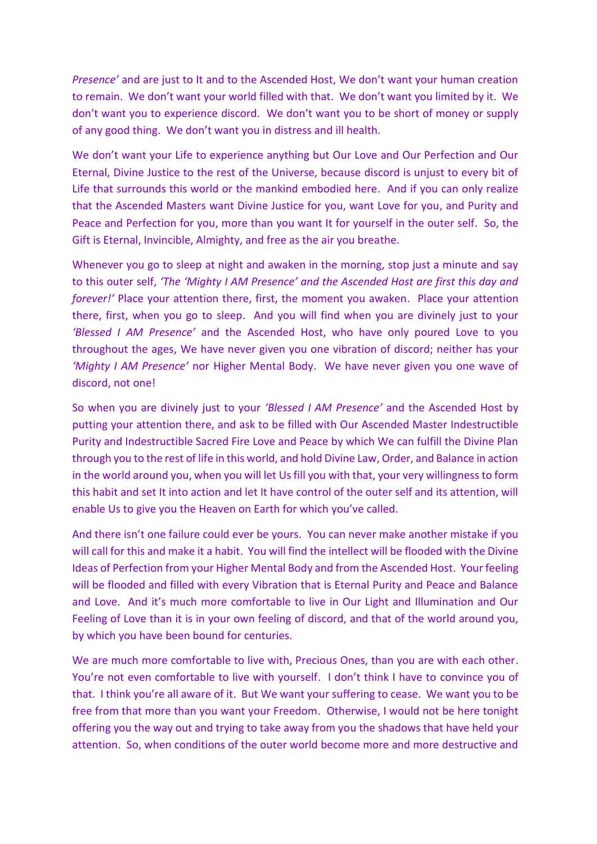*Presence'* and are just to It and to the Ascended Host, We don't want your human creation to remain. We don't want your world filled with that. We don't want you limited by it. We don't want you to experience discord. We don't want you to be short of money or supply of any good thing. We don't want you in distress and ill health.

We don't want your Life to experience anything but Our Love and Our Perfection and Our Eternal, Divine Justice to the rest of the Universe, because discord is unjust to every bit of Life that surrounds this world or the mankind embodied here. And if you can only realize that the Ascended Masters want Divine Justice for you, want Love for you, and Purity and Peace and Perfection for you, more than you want It for yourself in the outer self. So, the Gift is Eternal, Invincible, Almighty, and free as the air you breathe.

Whenever you go to sleep at night and awaken in the morning, stop just a minute and say to this outer self, *'The 'Mighty I AM Presence' and the Ascended Host are first this day and forever!'* Place your attention there, first, the moment you awaken. Place your attention there, first, when you go to sleep. And you will find when you are divinely just to your *'Blessed I AM Presence'* and the Ascended Host, who have only poured Love to you throughout the ages, We have never given you one vibration of discord; neither has your *'Mighty I AM Presence'* nor Higher Mental Body. We have never given you one wave of discord, not one!

So when you are divinely just to your *'Blessed I AM Presence'* and the Ascended Host by putting your attention there, and ask to be filled with Our Ascended Master Indestructible Purity and Indestructible Sacred Fire Love and Peace by which We can fulfill the Divine Plan through you to the rest of life in this world, and hold Divine Law, Order, and Balance in action in the world around you, when you will let Us fill you with that, your very willingness to form this habit and set It into action and let It have control of the outer self and its attention, will enable Us to give you the Heaven on Earth for which you've called.

And there isn't one failure could ever be yours. You can never make another mistake if you will call for this and make it a habit. You will find the intellect will be flooded with the Divine Ideas of Perfection from your Higher Mental Body and from the Ascended Host. Your feeling will be flooded and filled with every Vibration that is Eternal Purity and Peace and Balance and Love. And it's much more comfortable to live in Our Light and Illumination and Our Feeling of Love than it is in your own feeling of discord, and that of the world around you, by which you have been bound for centuries.

We are much more comfortable to live with, Precious Ones, than you are with each other. You're not even comfortable to live with yourself. I don't think I have to convince you of that. I think you're all aware of it. But We want your suffering to cease. We want you to be free from that more than you want your Freedom. Otherwise, I would not be here tonight offering you the way out and trying to take away from you the shadows that have held your attention. So, when conditions of the outer world become more and more destructive and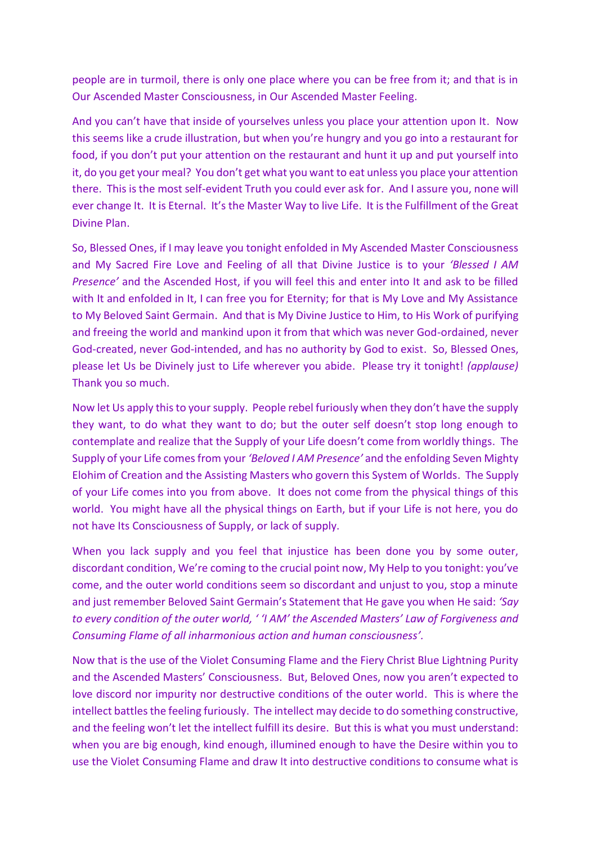people are in turmoil, there is only one place where you can be free from it; and that is in Our Ascended Master Consciousness, in Our Ascended Master Feeling.

And you can't have that inside of yourselves unless you place your attention upon It. Now this seems like a crude illustration, but when you're hungry and you go into a restaurant for food, if you don't put your attention on the restaurant and hunt it up and put yourself into it, do you get your meal? You don't get what you want to eat unless you place your attention there. This is the most self-evident Truth you could ever ask for. And I assure you, none will ever change It. It is Eternal. It's the Master Way to live Life. It is the Fulfillment of the Great Divine Plan.

So, Blessed Ones, if I may leave you tonight enfolded in My Ascended Master Consciousness and My Sacred Fire Love and Feeling of all that Divine Justice is to your *'Blessed I AM Presence'* and the Ascended Host, if you will feel this and enter into It and ask to be filled with It and enfolded in It, I can free you for Eternity; for that is My Love and My Assistance to My Beloved Saint Germain. And that is My Divine Justice to Him, to His Work of purifying and freeing the world and mankind upon it from that which was never God-ordained, never God-created, never God-intended, and has no authority by God to exist. So, Blessed Ones, please let Us be Divinely just to Life wherever you abide. Please try it tonight! *(applause)* Thank you so much.

Now let Us apply this to your supply. People rebel furiously when they don't have the supply they want, to do what they want to do; but the outer self doesn't stop long enough to contemplate and realize that the Supply of your Life doesn't come from worldly things. The Supply of your Life comes from your *'Beloved I AM Presence'* and the enfolding Seven Mighty Elohim of Creation and the Assisting Masters who govern this System of Worlds. The Supply of your Life comes into you from above. It does not come from the physical things of this world. You might have all the physical things on Earth, but if your Life is not here, you do not have Its Consciousness of Supply, or lack of supply.

When you lack supply and you feel that injustice has been done you by some outer, discordant condition, We're coming to the crucial point now, My Help to you tonight: you've come, and the outer world conditions seem so discordant and unjust to you, stop a minute and just remember Beloved Saint Germain's Statement that He gave you when He said: *'Say to every condition of the outer world, ' 'I AM' the Ascended Masters' Law of Forgiveness and Consuming Flame of all inharmonious action and human consciousness'.* 

Now that is the use of the Violet Consuming Flame and the Fiery Christ Blue Lightning Purity and the Ascended Masters' Consciousness. But, Beloved Ones, now you aren't expected to love discord nor impurity nor destructive conditions of the outer world. This is where the intellect battles the feeling furiously. The intellect may decide to do something constructive, and the feeling won't let the intellect fulfill its desire. But this is what you must understand: when you are big enough, kind enough, illumined enough to have the Desire within you to use the Violet Consuming Flame and draw It into destructive conditions to consume what is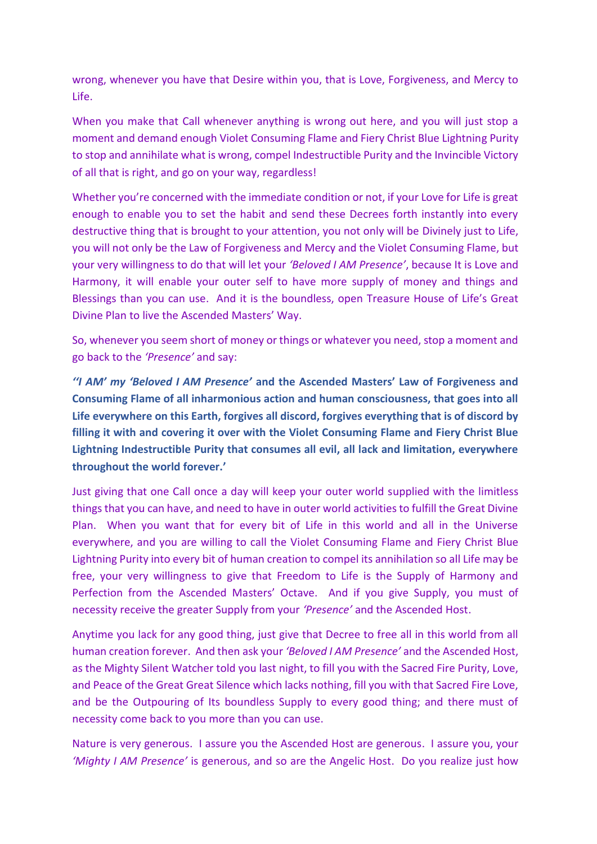wrong, whenever you have that Desire within you, that is Love, Forgiveness, and Mercy to Life.

When you make that Call whenever anything is wrong out here, and you will just stop a moment and demand enough Violet Consuming Flame and Fiery Christ Blue Lightning Purity to stop and annihilate what is wrong, compel Indestructible Purity and the Invincible Victory of all that is right, and go on your way, regardless!

Whether you're concerned with the immediate condition or not, if your Love for Life is great enough to enable you to set the habit and send these Decrees forth instantly into every destructive thing that is brought to your attention, you not only will be Divinely just to Life, you will not only be the Law of Forgiveness and Mercy and the Violet Consuming Flame, but your very willingness to do that will let your *'Beloved I AM Presence'*, because It is Love and Harmony, it will enable your outer self to have more supply of money and things and Blessings than you can use. And it is the boundless, open Treasure House of Life's Great Divine Plan to live the Ascended Masters' Way.

So, whenever you seem short of money or things or whatever you need, stop a moment and go back to the *'Presence'* and say:

*''I AM' my 'Beloved I AM Presence'* **and the Ascended Masters' Law of Forgiveness and Consuming Flame of all inharmonious action and human consciousness, that goes into all Life everywhere on this Earth, forgives all discord, forgives everything that is of discord by filling it with and covering it over with the Violet Consuming Flame and Fiery Christ Blue Lightning Indestructible Purity that consumes all evil, all lack and limitation, everywhere throughout the world forever.'**

Just giving that one Call once a day will keep your outer world supplied with the limitless things that you can have, and need to have in outer world activities to fulfill the Great Divine Plan. When you want that for every bit of Life in this world and all in the Universe everywhere, and you are willing to call the Violet Consuming Flame and Fiery Christ Blue Lightning Purity into every bit of human creation to compel its annihilation so all Life may be free, your very willingness to give that Freedom to Life is the Supply of Harmony and Perfection from the Ascended Masters' Octave. And if you give Supply, you must of necessity receive the greater Supply from your *'Presence'* and the Ascended Host.

Anytime you lack for any good thing, just give that Decree to free all in this world from all human creation forever. And then ask your *'Beloved I AM Presence'* and the Ascended Host, as the Mighty Silent Watcher told you last night, to fill you with the Sacred Fire Purity, Love, and Peace of the Great Great Silence which lacks nothing, fill you with that Sacred Fire Love, and be the Outpouring of Its boundless Supply to every good thing; and there must of necessity come back to you more than you can use.

Nature is very generous. I assure you the Ascended Host are generous. I assure you, your *'Mighty I AM Presence'* is generous, and so are the Angelic Host. Do you realize just how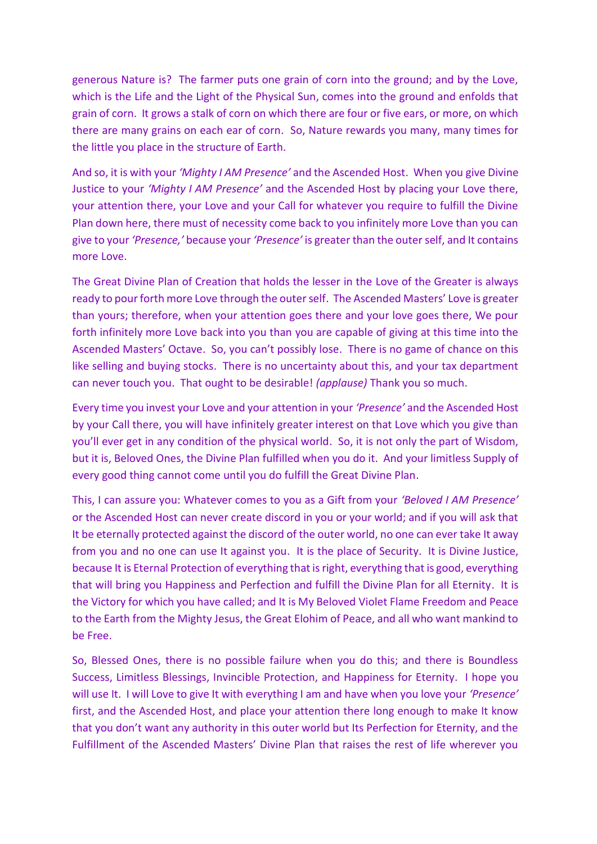generous Nature is? The farmer puts one grain of corn into the ground; and by the Love, which is the Life and the Light of the Physical Sun, comes into the ground and enfolds that grain of corn. It grows a stalk of corn on which there are four or five ears, or more, on which there are many grains on each ear of corn. So, Nature rewards you many, many times for the little you place in the structure of Earth.

And so, it is with your *'Mighty I AM Presence'* and the Ascended Host. When you give Divine Justice to your *'Mighty I AM Presence'* and the Ascended Host by placing your Love there, your attention there, your Love and your Call for whatever you require to fulfill the Divine Plan down here, there must of necessity come back to you infinitely more Love than you can give to your *'Presence,'* because your *'Presence'* is greater than the outer self, and It contains more Love.

The Great Divine Plan of Creation that holds the lesser in the Love of the Greater is always ready to pour forth more Love through the outer self. The Ascended Masters' Love is greater than yours; therefore, when your attention goes there and your love goes there, We pour forth infinitely more Love back into you than you are capable of giving at this time into the Ascended Masters' Octave. So, you can't possibly lose. There is no game of chance on this like selling and buying stocks. There is no uncertainty about this, and your tax department can never touch you. That ought to be desirable! *(applause)* Thank you so much.

Every time you invest your Love and your attention in your *'Presence'* and the Ascended Host by your Call there, you will have infinitely greater interest on that Love which you give than you'll ever get in any condition of the physical world. So, it is not only the part of Wisdom, but it is, Beloved Ones, the Divine Plan fulfilled when you do it. And your limitless Supply of every good thing cannot come until you do fulfill the Great Divine Plan.

This, I can assure you: Whatever comes to you as a Gift from your *'Beloved I AM Presence'* or the Ascended Host can never create discord in you or your world; and if you will ask that It be eternally protected against the discord of the outer world, no one can ever take It away from you and no one can use It against you. It is the place of Security. It is Divine Justice, because It is Eternal Protection of everything that is right, everything that is good, everything that will bring you Happiness and Perfection and fulfill the Divine Plan for all Eternity. It is the Victory for which you have called; and It is My Beloved Violet Flame Freedom and Peace to the Earth from the Mighty Jesus, the Great Elohim of Peace, and all who want mankind to be Free.

So, Blessed Ones, there is no possible failure when you do this; and there is Boundless Success, Limitless Blessings, Invincible Protection, and Happiness for Eternity. I hope you will use It. I will Love to give It with everything I am and have when you love your *'Presence'* first, and the Ascended Host, and place your attention there long enough to make It know that you don't want any authority in this outer world but Its Perfection for Eternity, and the Fulfillment of the Ascended Masters' Divine Plan that raises the rest of life wherever you